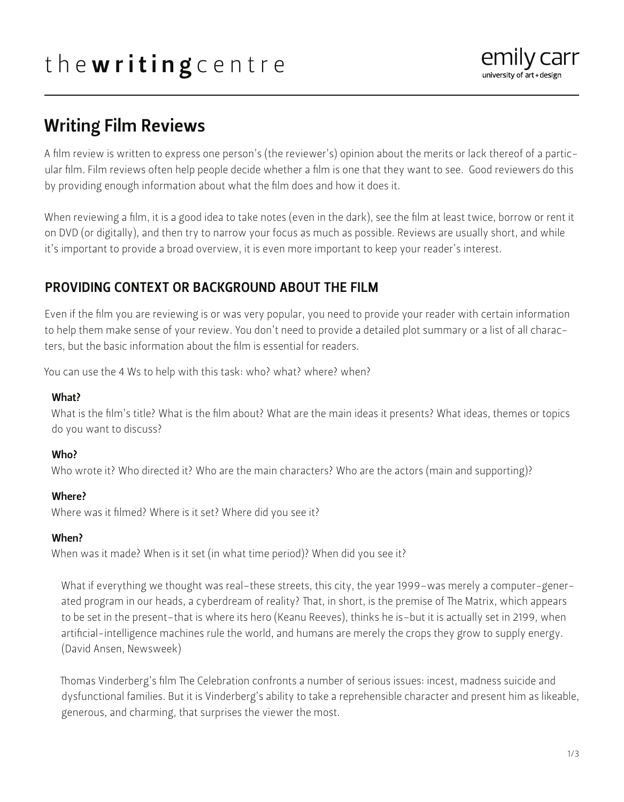# the writing centre



# Writing Film Reviews

A film review is written to express one person's (the reviewer's) opinion about the merits or lack thereof of a particular film. Film reviews often help people decide whether a film is one that they want to see. Good reviewers do this by providing enough information about what the film does and how it does it.

When reviewing a film, it is a good idea to take notes (even in the dark), see the film at least twice, borrow or rent it on DVD (or digitally), and then try to narrow your focus as much as possible. Reviews are usually short, and while it's important to provide a broad overview, it is even more important to keep your reader's interest.

# PROVIDING CONTEXT OR BACKGROUND ABOUT THE FILM

Even if the film you are reviewing is or was very popular, you need to provide your reader with certain information to help them make sense of your review. You don't need to provide a detailed plot summary or a list of all characters, but the basic information about the film is essential for readers.

You can use the 4 Ws to help with this task: who? what? where? when?

#### What?

What is the film's title? What is the film about? What are the main ideas it presents? What ideas, themes or topics do you want to discuss?

#### Who?

Who wrote it? Who directed it? Who are the main characters? Who are the actors (main and supporting)?

#### Where?

Where was it filmed? Where is it set? Where did you see it?

#### When?

When was it made? When is it set (in what time period)? When did you see it?

What if everything we thought was real–these streets, this city, the year 1999–was merely a computer-generated program in our heads, a cyberdream of reality? That, in short, is the premise of The Matrix, which appears to be set in the present–that is where its hero (Keanu Reeves), thinks he is–but it is actually set in 2199, when artificial-intelligence machines rule the world, and humans are merely the crops they grow to supply energy. (David Ansen, Newsweek)

Thomas Vinderberg's film The Celebration confronts a number of serious issues: incest, madness suicide and dysfunctional families. But it is Vinderberg's ability to take a reprehensible character and present him as likeable, generous, and charming, that surprises the viewer the most.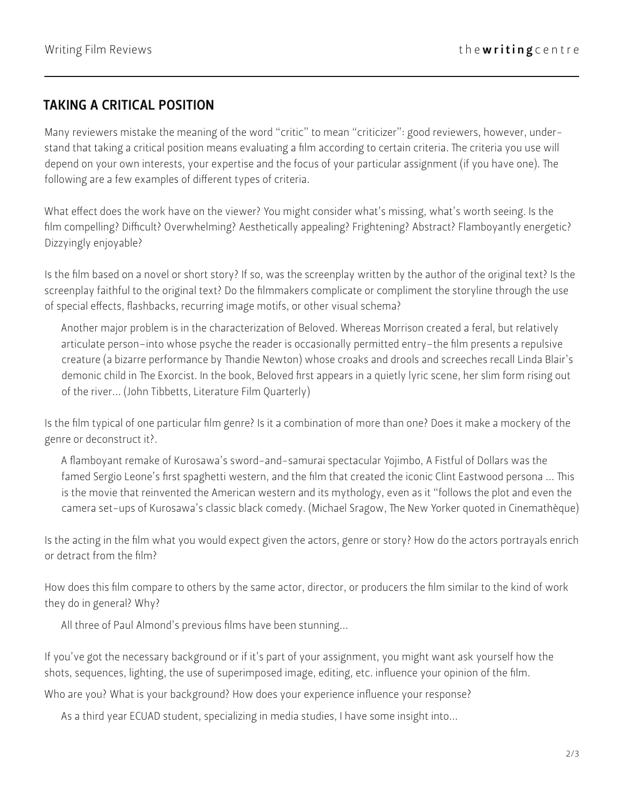# TAKING A CRITICAL POSITION

Many reviewers mistake the meaning of the word "critic" to mean "criticizer": good reviewers, however, understand that taking a critical position means evaluating a film according to certain criteria. The criteria you use will depend on your own interests, your expertise and the focus of your particular assignment (if you have one). The following are a few examples of different types of criteria.

What effect does the work have on the viewer? You might consider what's missing, what's worth seeing. Is the film compelling? Difficult? Overwhelming? Aesthetically appealing? Frightening? Abstract? Flamboyantly energetic? Dizzyingly enjoyable?

Is the film based on a novel or short story? If so, was the screenplay written by the author of the original text? Is the screenplay faithful to the original text? Do the filmmakers complicate or compliment the storyline through the use of special effects, flashbacks, recurring image motifs, or other visual schema?

Another major problem is in the characterization of Beloved. Whereas Morrison created a feral, but relatively articulate person–into whose psyche the reader is occasionally permitted entry–the film presents a repulsive creature (a bizarre performance by Thandie Newton) whose croaks and drools and screeches recall Linda Blair's demonic child in The Exorcist. In the book, Beloved first appears in a quietly lyric scene, her slim form rising out of the river... (John Tibbetts, Literature Film Quarterly)

Is the film typical of one particular film genre? Is it a combination of more than one? Does it make a mockery of the genre or deconstruct it?.

A flamboyant remake of Kurosawa's sword-and-samurai spectacular Yojimbo, A Fistful of Dollars was the famed Sergio Leone's first spaghetti western, and the film that created the iconic Clint Eastwood persona ... This is the movie that reinvented the American western and its mythology, even as it "follows the plot and even the camera set-ups of Kurosawa's classic black comedy. (Michael Sragow, The New Yorker quoted in Cinemathèque)

Is the acting in the film what you would expect given the actors, genre or story? How do the actors portrayals enrich or detract from the film?

How does this film compare to others by the same actor, director, or producers the film similar to the kind of work they do in general? Why?

All three of Paul Almond's previous films have been stunning...

If you've got the necessary background or if it's part of your assignment, you might want ask yourself how the shots, sequences, lighting, the use of superimposed image, editing, etc. influence your opinion of the film.

Who are you? What is your background? How does your experience influence your response?

As a third year ECUAD student, specializing in media studies, I have some insight into...